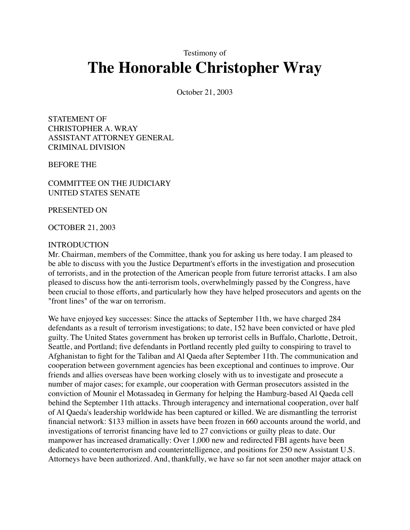Testimony of

# **The Honorable Christopher Wray**

October 21, 2003

STATEMENT OF CHRISTOPHER A. WRAY ASSISTANT ATTORNEY GENERAL CRIMINAL DIVISION

BEFORE THE

COMMITTEE ON THE JUDICIARY UNITED STATES SENATE

PRESENTED ON

OCTOBER 21, 2003

#### INTRODUCTION

Mr. Chairman, members of the Committee, thank you for asking us here today. I am pleased to be able to discuss with you the Justice Department's efforts in the investigation and prosecution of terrorists, and in the protection of the American people from future terrorist attacks. I am also pleased to discuss how the anti-terrorism tools, overwhelmingly passed by the Congress, have been crucial to those efforts, and particularly how they have helped prosecutors and agents on the "front lines" of the war on terrorism.

We have enjoyed key successes: Since the attacks of September 11th, we have charged 284 defendants as a result of terrorism investigations; to date, 152 have been convicted or have pled guilty. The United States government has broken up terrorist cells in Buffalo, Charlotte, Detroit, Seattle, and Portland; five defendants in Portland recently pled guilty to conspiring to travel to Afghanistan to fight for the Taliban and Al Qaeda after September 11th. The communication and cooperation between government agencies has been exceptional and continues to improve. Our friends and allies overseas have been working closely with us to investigate and prosecute a number of major cases; for example, our cooperation with German prosecutors assisted in the conviction of Mounir el Motassadeq in Germany for helping the Hamburg-based Al Qaeda cell behind the September 11th attacks. Through interagency and international cooperation, over half of Al Qaeda's leadership worldwide has been captured or killed. We are dismantling the terrorist financial network: \$133 million in assets have been frozen in 660 accounts around the world, and investigations of terrorist financing have led to 27 convictions or guilty pleas to date. Our manpower has increased dramatically: Over 1,000 new and redirected FBI agents have been dedicated to counterterrorism and counterintelligence, and positions for 250 new Assistant U.S. Attorneys have been authorized. And, thankfully, we have so far not seen another major attack on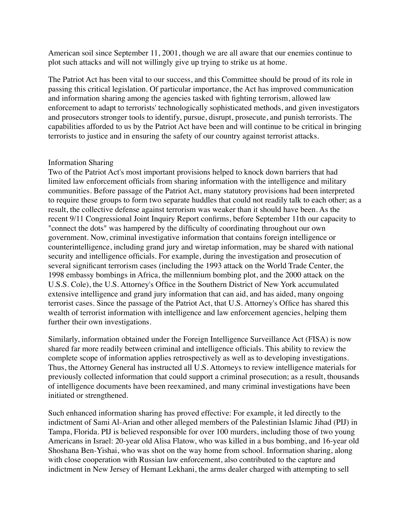American soil since September 11, 2001, though we are all aware that our enemies continue to plot such attacks and will not willingly give up trying to strike us at home.

The Patriot Act has been vital to our success, and this Committee should be proud of its role in passing this critical legislation. Of particular importance, the Act has improved communication and information sharing among the agencies tasked with fighting terrorism, allowed law enforcement to adapt to terrorists' technologically sophisticated methods, and given investigators and prosecutors stronger tools to identify, pursue, disrupt, prosecute, and punish terrorists. The capabilities afforded to us by the Patriot Act have been and will continue to be critical in bringing terrorists to justice and in ensuring the safety of our country against terrorist attacks.

## Information Sharing

Two of the Patriot Act's most important provisions helped to knock down barriers that had limited law enforcement officials from sharing information with the intelligence and military communities. Before passage of the Patriot Act, many statutory provisions had been interpreted to require these groups to form two separate huddles that could not readily talk to each other; as a result, the collective defense against terrorism was weaker than it should have been. As the recent 9/11 Congressional Joint Inquiry Report confirms, before September 11th our capacity to "connect the dots" was hampered by the difficulty of coordinating throughout our own government. Now, criminal investigative information that contains foreign intelligence or counterintelligence, including grand jury and wiretap information, may be shared with national security and intelligence officials. For example, during the investigation and prosecution of several significant terrorism cases (including the 1993 attack on the World Trade Center, the 1998 embassy bombings in Africa, the millennium bombing plot, and the 2000 attack on the U.S.S. Cole), the U.S. Attorney's Office in the Southern District of New York accumulated extensive intelligence and grand jury information that can aid, and has aided, many ongoing terrorist cases. Since the passage of the Patriot Act, that U.S. Attorney's Office has shared this wealth of terrorist information with intelligence and law enforcement agencies, helping them further their own investigations.

Similarly, information obtained under the Foreign Intelligence Surveillance Act (FISA) is now shared far more readily between criminal and intelligence officials. This ability to review the complete scope of information applies retrospectively as well as to developing investigations. Thus, the Attorney General has instructed all U.S. Attorneys to review intelligence materials for previously collected information that could support a criminal prosecution; as a result, thousands of intelligence documents have been reexamined, and many criminal investigations have been initiated or strengthened.

Such enhanced information sharing has proved effective: For example, it led directly to the indictment of Sami Al-Arian and other alleged members of the Palestinian Islamic Jihad (PIJ) in Tampa, Florida. PIJ is believed responsible for over 100 murders, including those of two young Americans in Israel: 20-year old Alisa Flatow, who was killed in a bus bombing, and 16-year old Shoshana Ben-Yishai, who was shot on the way home from school. Information sharing, along with close cooperation with Russian law enforcement, also contributed to the capture and indictment in New Jersey of Hemant Lekhani, the arms dealer charged with attempting to sell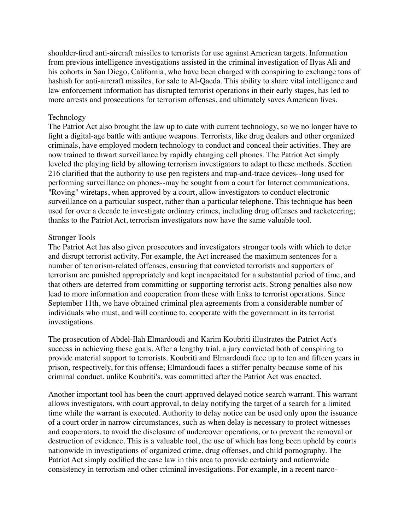shoulder-fired anti-aircraft missiles to terrorists for use against American targets. Information from previous intelligence investigations assisted in the criminal investigation of Ilyas Ali and his cohorts in San Diego, California, who have been charged with conspiring to exchange tons of hashish for anti-aircraft missiles, for sale to Al-Qaeda. This ability to share vital intelligence and law enforcement information has disrupted terrorist operations in their early stages, has led to more arrests and prosecutions for terrorism offenses, and ultimately saves American lives.

## Technology

The Patriot Act also brought the law up to date with current technology, so we no longer have to fight a digital-age battle with antique weapons. Terrorists, like drug dealers and other organized criminals, have employed modern technology to conduct and conceal their activities. They are now trained to thwart surveillance by rapidly changing cell phones. The Patriot Act simply leveled the playing field by allowing terrorism investigators to adapt to these methods. Section 216 clarified that the authority to use pen registers and trap-and-trace devices--long used for performing surveillance on phones--may be sought from a court for Internet communications. "Roving" wiretaps, when approved by a court, allow investigators to conduct electronic surveillance on a particular suspect, rather than a particular telephone. This technique has been used for over a decade to investigate ordinary crimes, including drug offenses and racketeering; thanks to the Patriot Act, terrorism investigators now have the same valuable tool.

## Stronger Tools

The Patriot Act has also given prosecutors and investigators stronger tools with which to deter and disrupt terrorist activity. For example, the Act increased the maximum sentences for a number of terrorism-related offenses, ensuring that convicted terrorists and supporters of terrorism are punished appropriately and kept incapacitated for a substantial period of time, and that others are deterred from committing or supporting terrorist acts. Strong penalties also now lead to more information and cooperation from those with links to terrorist operations. Since September 11th, we have obtained criminal plea agreements from a considerable number of individuals who must, and will continue to, cooperate with the government in its terrorist investigations.

The prosecution of Abdel-Ilah Elmardoudi and Karim Koubriti illustrates the Patriot Act's success in achieving these goals. After a lengthy trial, a jury convicted both of conspiring to provide material support to terrorists. Koubriti and Elmardoudi face up to ten and fifteen years in prison, respectively, for this offense; Elmardoudi faces a stiffer penalty because some of his criminal conduct, unlike Koubriti's, was committed after the Patriot Act was enacted.

Another important tool has been the court-approved delayed notice search warrant. This warrant allows investigators, with court approval, to delay notifying the target of a search for a limited time while the warrant is executed. Authority to delay notice can be used only upon the issuance of a court order in narrow circumstances, such as when delay is necessary to protect witnesses and cooperators, to avoid the disclosure of undercover operations, or to prevent the removal or destruction of evidence. This is a valuable tool, the use of which has long been upheld by courts nationwide in investigations of organized crime, drug offenses, and child pornography. The Patriot Act simply codified the case law in this area to provide certainty and nationwide consistency in terrorism and other criminal investigations. For example, in a recent narco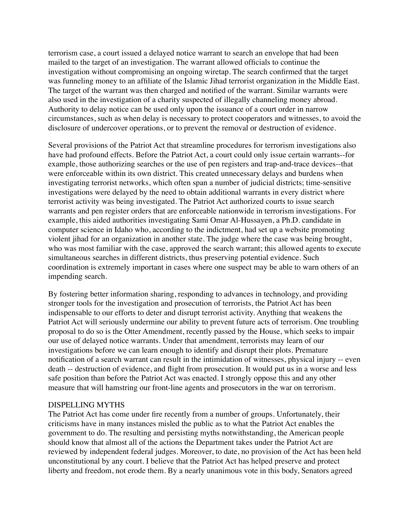terrorism case, a court issued a delayed notice warrant to search an envelope that had been mailed to the target of an investigation. The warrant allowed officials to continue the investigation without compromising an ongoing wiretap. The search confirmed that the target was funneling money to an affiliate of the Islamic Jihad terrorist organization in the Middle East. The target of the warrant was then charged and notified of the warrant. Similar warrants were also used in the investigation of a charity suspected of illegally channeling money abroad. Authority to delay notice can be used only upon the issuance of a court order in narrow circumstances, such as when delay is necessary to protect cooperators and witnesses, to avoid the disclosure of undercover operations, or to prevent the removal or destruction of evidence.

Several provisions of the Patriot Act that streamline procedures for terrorism investigations also have had profound effects. Before the Patriot Act, a court could only issue certain warrants--for example, those authorizing searches or the use of pen registers and trap-and-trace devices--that were enforceable within its own district. This created unnecessary delays and burdens when investigating terrorist networks, which often span a number of judicial districts; time-sensitive investigations were delayed by the need to obtain additional warrants in every district where terrorist activity was being investigated. The Patriot Act authorized courts to issue search warrants and pen register orders that are enforceable nationwide in terrorism investigations. For example, this aided authorities investigating Sami Omar Al-Hussayen, a Ph.D. candidate in computer science in Idaho who, according to the indictment, had set up a website promoting violent jihad for an organization in another state. The judge where the case was being brought, who was most familiar with the case, approved the search warrant; this allowed agents to execute simultaneous searches in different districts, thus preserving potential evidence. Such coordination is extremely important in cases where one suspect may be able to warn others of an impending search.

By fostering better information sharing, responding to advances in technology, and providing stronger tools for the investigation and prosecution of terrorists, the Patriot Act has been indispensable to our efforts to deter and disrupt terrorist activity. Anything that weakens the Patriot Act will seriously undermine our ability to prevent future acts of terrorism. One troubling proposal to do so is the Otter Amendment, recently passed by the House, which seeks to impair our use of delayed notice warrants. Under that amendment, terrorists may learn of our investigations before we can learn enough to identify and disrupt their plots. Premature notification of a search warrant can result in the intimidation of witnesses, physical injury -- even death -- destruction of evidence, and flight from prosecution. It would put us in a worse and less safe position than before the Patriot Act was enacted. I strongly oppose this and any other measure that will hamstring our front-line agents and prosecutors in the war on terrorism.

## DISPELLING MYTHS

The Patriot Act has come under fire recently from a number of groups. Unfortunately, their criticisms have in many instances misled the public as to what the Patriot Act enables the government to do. The resulting and persisting myths notwithstanding, the American people should know that almost all of the actions the Department takes under the Patriot Act are reviewed by independent federal judges. Moreover, to date, no provision of the Act has been held unconstitutional by any court. I believe that the Patriot Act has helped preserve and protect liberty and freedom, not erode them. By a nearly unanimous vote in this body, Senators agreed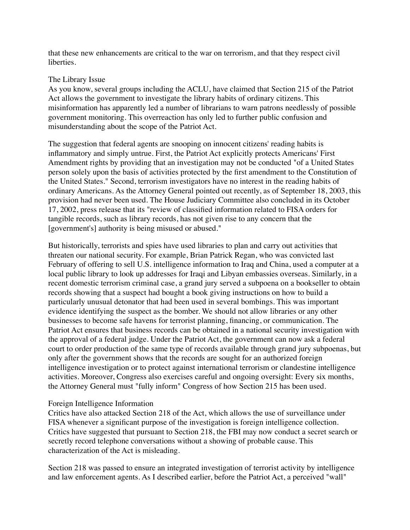that these new enhancements are critical to the war on terrorism, and that they respect civil liberties.

## The Library Issue

As you know, several groups including the ACLU, have claimed that Section 215 of the Patriot Act allows the government to investigate the library habits of ordinary citizens. This misinformation has apparently led a number of librarians to warn patrons needlessly of possible government monitoring. This overreaction has only led to further public confusion and misunderstanding about the scope of the Patriot Act.

The suggestion that federal agents are snooping on innocent citizens' reading habits is inflammatory and simply untrue. First, the Patriot Act explicitly protects Americans' First Amendment rights by providing that an investigation may not be conducted "of a United States person solely upon the basis of activities protected by the first amendment to the Constitution of the United States." Second, terrorism investigators have no interest in the reading habits of ordinary Americans. As the Attorney General pointed out recently, as of September 18, 2003, this provision had never been used. The House Judiciary Committee also concluded in its October 17, 2002, press release that its "review of classified information related to FISA orders for tangible records, such as library records, has not given rise to any concern that the [government's] authority is being misused or abused."

But historically, terrorists and spies have used libraries to plan and carry out activities that threaten our national security. For example, Brian Patrick Regan, who was convicted last February of offering to sell U.S. intelligence information to Iraq and China, used a computer at a local public library to look up addresses for Iraqi and Libyan embassies overseas. Similarly, in a recent domestic terrorism criminal case, a grand jury served a subpoena on a bookseller to obtain records showing that a suspect had bought a book giving instructions on how to build a particularly unusual detonator that had been used in several bombings. This was important evidence identifying the suspect as the bomber. We should not allow libraries or any other businesses to become safe havens for terrorist planning, financing, or communication. The Patriot Act ensures that business records can be obtained in a national security investigation with the approval of a federal judge. Under the Patriot Act, the government can now ask a federal court to order production of the same type of records available through grand jury subpoenas, but only after the government shows that the records are sought for an authorized foreign intelligence investigation or to protect against international terrorism or clandestine intelligence activities. Moreover, Congress also exercises careful and ongoing oversight: Every six months, the Attorney General must "fully inform" Congress of how Section 215 has been used.

## Foreign Intelligence Information

Critics have also attacked Section 218 of the Act, which allows the use of surveillance under FISA whenever a significant purpose of the investigation is foreign intelligence collection. Critics have suggested that pursuant to Section 218, the FBI may now conduct a secret search or secretly record telephone conversations without a showing of probable cause. This characterization of the Act is misleading.

Section 218 was passed to ensure an integrated investigation of terrorist activity by intelligence and law enforcement agents. As I described earlier, before the Patriot Act, a perceived "wall"